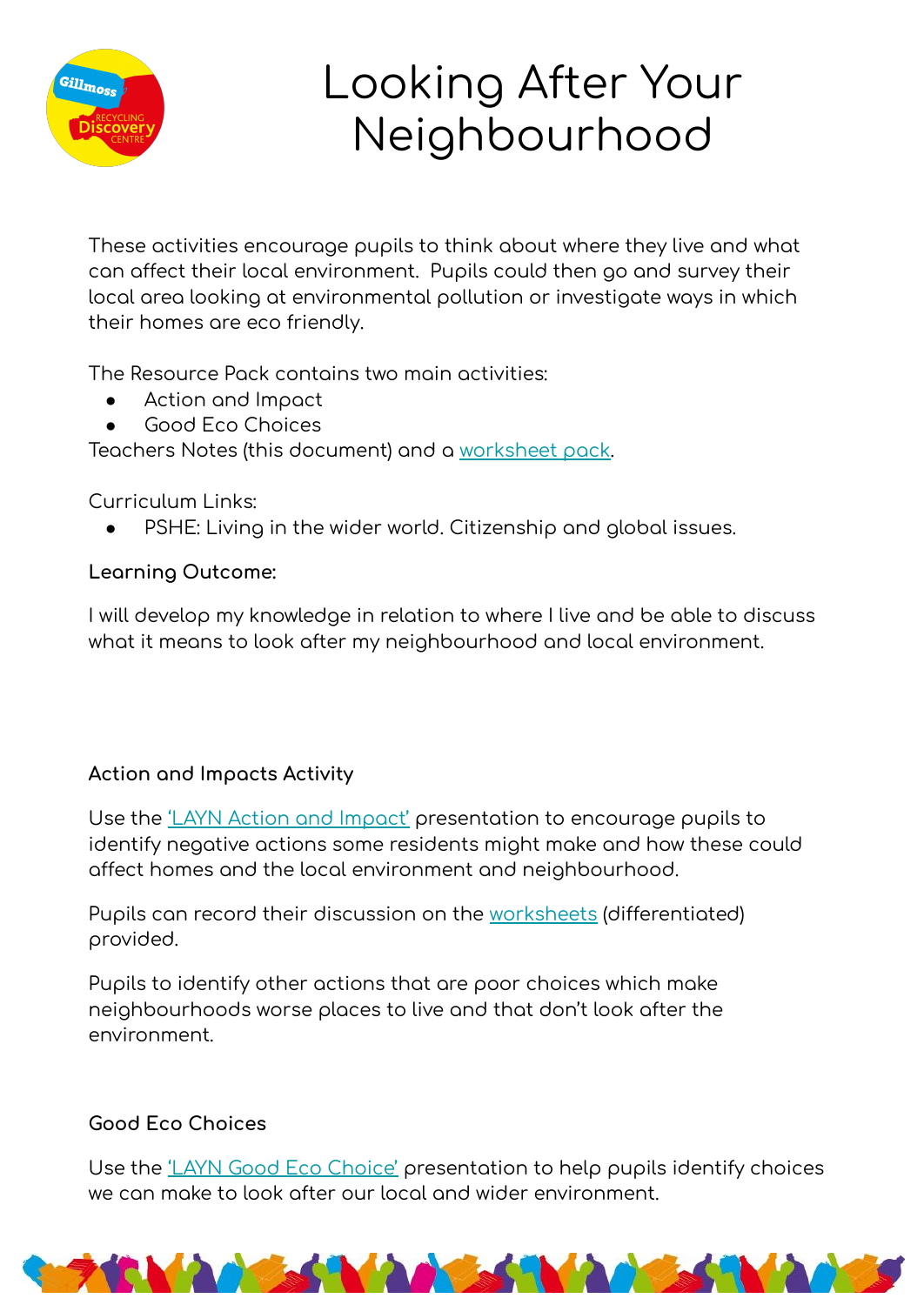

## Looking After Your Neighbourhood

These activities encourage pupils to think about where they live and what can affect their local environment. Pupils could then go and survey their local area looking at environmental pollution or investigate ways in which their homes are eco friendly.

The Resource Pack contains two main activities:

- Action and Impact
- Good Eco Choices

Teachers Notes (this document) and a [worksheet pack](https://www.veolia.co.uk/merseyside-and-halton/sites/g/files/dvc1821/files/document/2020/07/LAYN%20Worksheet%20Pack.pdf).

Curriculum Links:

PSHE: Living in the wider world. Citizenship and alobal issues.

## **Learning Outcome:**

I will develop my knowledge in relation to where I live and be able to discuss what it means to look after my neighbourhood and local environment.

## **Action and Impacts Activity**

Use the *'LAYN Action and Impact'* presentation to encourage pupils to identify negative actions some residents might make and how these could affect homes and the local environment and neighbourhood.

Pupils can record their discussion on the [worksheets](https://www.veolia.co.uk/merseyside-and-halton/sites/g/files/dvc1821/files/document/2020/07/LAYN%20Worksheet%20Pack%20%281%29.pdf) (differentiated) provided.

Pupils to identiÿy other actions that are poor choices which make neighbourhoods worse places to live and that don't look after the environment.

## **Good Eco Choices**

Use the ['LAYN Good Eco Choice'](https://docs.google.com/presentation/d/e/2PACX-1vQV_nDe1D-avZ9Cc3-bKc8JyQTVGzLeqJ_D-c5qUXH4ARzbzRftfuNcdbCekrVRFfkqDqFBDYB1yLxi/pub?start=false&loop=false&delayms=30000) presentation to help pupils identify choices we can make to look after our local and wider environment.